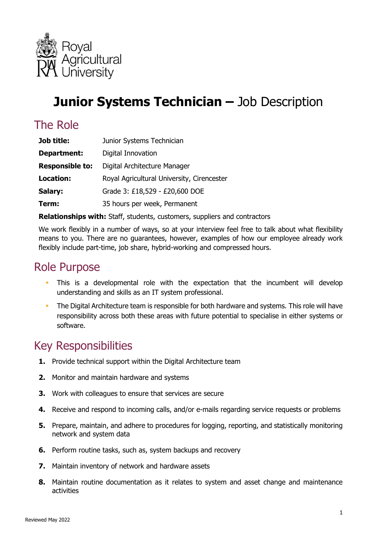

# **Junior Systems Technician –** Job Description

### The Role

| Job title:             | Junior Systems Technician                  |
|------------------------|--------------------------------------------|
| Department:            | Digital Innovation                         |
| <b>Responsible to:</b> | Digital Architecture Manager               |
| <b>Location:</b>       | Royal Agricultural University, Cirencester |
| Salary:                | Grade 3: £18,529 - £20,600 DOE             |
| Term:                  | 35 hours per week, Permanent               |

**Relationships with:** Staff, students, customers, suppliers and contractors

 We work flexibly in a number of ways, so at your interview feel free to talk about what flexibility means to you. There are no guarantees, however, examples of how our employee already work flexibly include part-time, job share, hybrid-working and compressed hours.

#### Role Purpose

- **This is a developmental role with the expectation that the incumbent will develop** understanding and skills as an IT system professional.
- The Digital Architecture team is responsible for both hardware and systems. This role will have responsibility across both these areas with future potential to specialise in either systems or software.

#### Key Responsibilities

- **1.** Provide technical support within the Digital Architecture team
- **2.** Monitor and maintain hardware and systems
- **3.** Work with colleagues to ensure that services are secure
- **4.** Receive and respond to incoming calls, and/or e-mails regarding service requests or problems
- **5.** Prepare, maintain, and adhere to procedures for logging, reporting, and statistically monitoring network and system data
- **6.** Perform routine tasks, such as, system backups and recovery
- **7.** Maintain inventory of network and hardware assets
- **8.** Maintain routine documentation as it relates to system and asset change and maintenance activities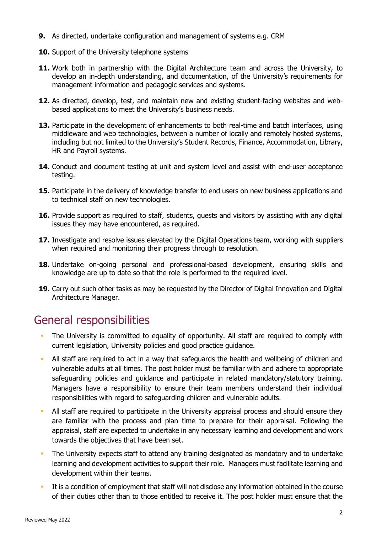- **9.** As directed, undertake configuration and management of systems e.g. CRM
- **10.** Support of the University telephone systems
- **11.** Work both in partnership with the Digital Architecture team and across the University, to develop an in-depth understanding, and documentation, of the University's requirements for management information and pedagogic services and systems.
- **12.** As directed, develop, test, and maintain new and existing student-facing websites and webbased applications to meet the University's business needs.
- **13.** Participate in the development of enhancements to both real-time and batch interfaces, using middleware and web technologies, between a number of locally and remotely hosted systems, including but not limited to the University's Student Records, Finance, Accommodation, Library, HR and Payroll systems.
- **14.** Conduct and document testing at unit and system level and assist with end-user acceptance testing.
- **15.** Participate in the delivery of knowledge transfer to end users on new business applications and to technical staff on new technologies.
- **16.** Provide support as required to staff, students, guests and visitors by assisting with any digital issues they may have encountered, as required.
- **17.** Investigate and resolve issues elevated by the Digital Operations team, working with suppliers when required and monitoring their progress through to resolution.
- **18.** Undertake on-going personal and professional-based development, ensuring skills and knowledge are up to date so that the role is performed to the required level.
- **19.** Carry out such other tasks as may be requested by the Director of Digital Innovation and Digital Architecture Manager.

#### General responsibilities

- The University is committed to equality of opportunity. All staff are required to comply with current legislation, University policies and good practice guidance.
- All staff are required to act in a way that safeguards the health and wellbeing of children and Managers have a responsibility to ensure their team members understand their individual vulnerable adults at all times. The post holder must be familiar with and adhere to appropriate safeguarding policies and guidance and participate in related mandatory/statutory training. responsibilities with regard to safeguarding children and vulnerable adults.
- All staff are required to participate in the University appraisal process and should ensure they are familiar with the process and plan time to prepare for their appraisal. Following the appraisal, staff are expected to undertake in any necessary learning and development and work towards the objectives that have been set.
- The University expects staff to attend any training designated as mandatory and to undertake learning and development activities to support their role. Managers must facilitate learning and development within their teams.
- It is a condition of employment that staff will not disclose any information obtained in the course of their duties other than to those entitled to receive it. The post holder must ensure that the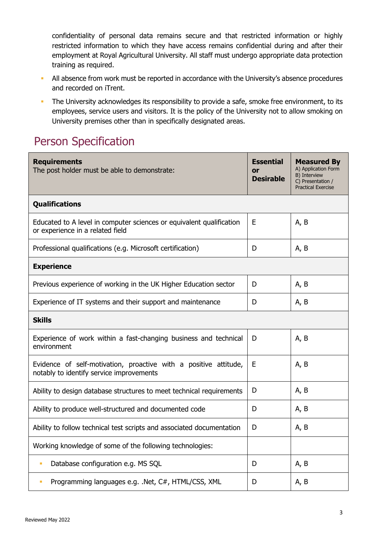confidentiality of personal data remains secure and that restricted information or highly restricted information to which they have access remains confidential during and after their employment at Royal Agricultural University. All staff must undergo appropriate data protection training as required.

- All absence from work must be reported in accordance with the University's absence procedures and recorded on iTrent.
- The University acknowledges its responsibility to provide a safe, smoke free environment, to its employees, service users and visitors. It is the policy of the University not to allow smoking on University premises other than in specifically designated areas.

### Person Specification

| <b>Requirements</b><br>The post holder must be able to demonstrate:                                          | <b>Essential</b><br>or<br><b>Desirable</b> | <b>Measured By</b><br>A) Application Form<br>B) Interview<br>C) Presentation /<br><b>Practical Exercise</b> |  |  |
|--------------------------------------------------------------------------------------------------------------|--------------------------------------------|-------------------------------------------------------------------------------------------------------------|--|--|
| <b>Qualifications</b>                                                                                        |                                            |                                                                                                             |  |  |
| Educated to A level in computer sciences or equivalent qualification<br>or experience in a related field     | E                                          | A, B                                                                                                        |  |  |
| Professional qualifications (e.g. Microsoft certification)                                                   | D                                          | A, B                                                                                                        |  |  |
| <b>Experience</b>                                                                                            |                                            |                                                                                                             |  |  |
| Previous experience of working in the UK Higher Education sector                                             | D                                          | A, B                                                                                                        |  |  |
| Experience of IT systems and their support and maintenance                                                   | D                                          | A, B                                                                                                        |  |  |
| <b>Skills</b>                                                                                                |                                            |                                                                                                             |  |  |
| Experience of work within a fast-changing business and technical<br>environment                              | D                                          | A, B                                                                                                        |  |  |
| Evidence of self-motivation, proactive with a positive attitude,<br>notably to identify service improvements | Ε                                          | A, B                                                                                                        |  |  |
| Ability to design database structures to meet technical requirements                                         | D                                          | A, B                                                                                                        |  |  |
| Ability to produce well-structured and documented code                                                       | D                                          | A, B                                                                                                        |  |  |
| Ability to follow technical test scripts and associated documentation                                        | D                                          | A, B                                                                                                        |  |  |
| Working knowledge of some of the following technologies:                                                     |                                            |                                                                                                             |  |  |
| Database configuration e.g. MS SQL<br>I.                                                                     | D                                          | A, B                                                                                                        |  |  |
| Programming languages e.g. .Net, C#, HTML/CSS, XML                                                           | D                                          | A, B                                                                                                        |  |  |